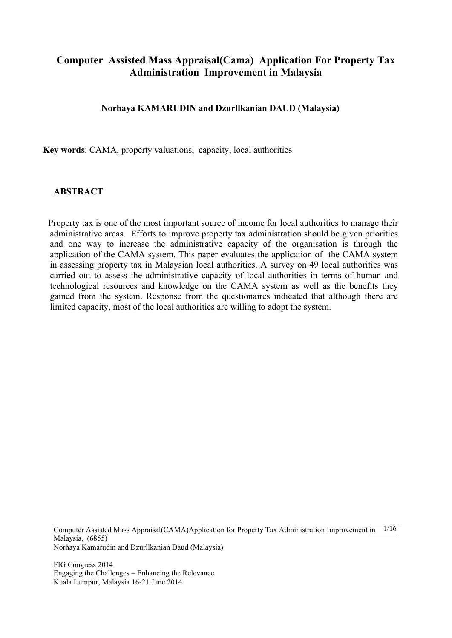# **Computer Assisted Mass Appraisal(Cama) Application For Property Tax Administration Improvement in Malaysia**

#### **Norhaya KAMARUDIN and Dzurllkanian DAUD (Malaysia)**

**Key words**: CAMA, property valuations, capacity, local authorities

#### **ABSTRACT**

Property tax is one of the most important source of income for local authorities to manage their administrative areas. Efforts to improve property tax administration should be given priorities and one way to increase the administrative capacity of the organisation is through the application of the CAMA system. This paper evaluates the application of the CAMA system in assessing property tax in Malaysian local authorities. A survey on 49 local authorities was carried out to assess the administrative capacity of local authorities in terms of human and technological resources and knowledge on the CAMA system as well as the benefits they gained from the system. Response from the questionaires indicated that although there are limited capacity, most of the local authorities are willing to adopt the system.

Computer Assisted Mass Appraisal(CAMA)Application for Property Tax Administration Improvement in 1/16 Malaysia, (6855) Norhaya Kamarudin and Dzurllkanian Daud (Malaysia)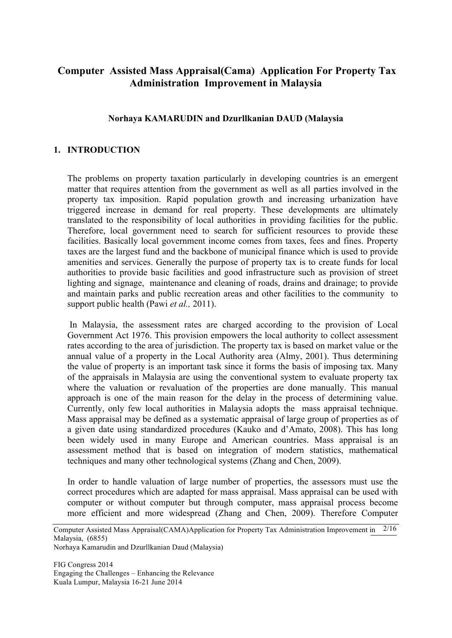# **Computer Assisted Mass Appraisal(Cama) Application For Property Tax Administration Improvement in Malaysia**

#### **Norhaya KAMARUDIN and Dzurllkanian DAUD (Malaysia**

#### **1. INTRODUCTION**

The problems on property taxation particularly in developing countries is an emergent matter that requires attention from the government as well as all parties involved in the property tax imposition. Rapid population growth and increasing urbanization have triggered increase in demand for real property. These developments are ultimately translated to the responsibility of local authorities in providing facilities for the public. Therefore, local government need to search for sufficient resources to provide these facilities. Basically local government income comes from taxes, fees and fines. Property taxes are the largest fund and the backbone of municipal finance which is used to provide amenities and services. Generally the purpose of property tax is to create funds for local authorities to provide basic facilities and good infrastructure such as provision of street lighting and signage, maintenance and cleaning of roads, drains and drainage; to provide and maintain parks and public recreation areas and other facilities to the community to support public health (Pawi *et al.,* 2011).

In Malaysia, the assessment rates are charged according to the provision of Local Government Act 1976. This provision empowers the local authority to collect assessment rates according to the area of jurisdiction. The property tax is based on market value or the annual value of a property in the Local Authority area (Almy, 2001). Thus determining the value of property is an important task since it forms the basis of imposing tax. Many of the appraisals in Malaysia are using the conventional system to evaluate property tax where the valuation or revaluation of the properties are done manually. This manual approach is one of the main reason for the delay in the process of determining value. Currently, only few local authorities in Malaysia adopts the mass appraisal technique. Mass appraisal may be defined as a systematic appraisal of large group of properties as of a given date using standardized procedures (Kauko and d'Amato, 2008). This has long been widely used in many Europe and American countries. Mass appraisal is an assessment method that is based on integration of modern statistics, mathematical techniques and many other technological systems (Zhang and Chen, 2009).

In order to handle valuation of large number of properties, the assessors must use the correct procedures which are adapted for mass appraisal. Mass appraisal can be used with computer or without computer but through computer, mass appraisal process become more efficient and more widespread (Zhang and Chen, 2009). Therefore Computer

Norhaya Kamarudin and Dzurllkanian Daud (Malaysia)

Computer Assisted Mass Appraisal(CAMA)Application for Property Tax Administration Improvement in 2/16 Malaysia, (6855)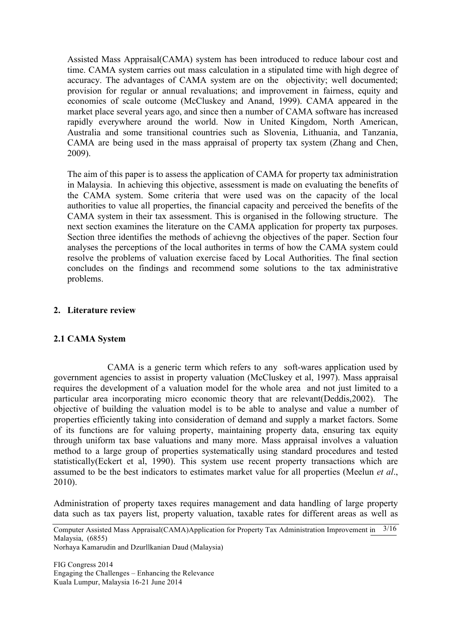Assisted Mass Appraisal(CAMA) system has been introduced to reduce labour cost and time. CAMA system carries out mass calculation in a stipulated time with high degree of accuracy. The advantages of CAMA system are on the objectivity; well documented; provision for regular or annual revaluations; and improvement in fairness, equity and economies of scale outcome (McCluskey and Anand, 1999). CAMA appeared in the market place several years ago, and since then a number of CAMA software has increased rapidly everywhere around the world. Now in United Kingdom, North American, Australia and some transitional countries such as Slovenia, Lithuania, and Tanzania, CAMA are being used in the mass appraisal of property tax system (Zhang and Chen, 2009).

The aim of this paper is to assess the application of CAMA for property tax administration in Malaysia. In achieving this objective, assessment is made on evaluating the benefits of the CAMA system. Some criteria that were used was on the capacity of the local authorities to value all properties, the financial capacity and perceived the benefits of the CAMA system in their tax assessment. This is organised in the following structure. The next section examines the literature on the CAMA application for property tax purposes. Section three identifies the methods of achievng the objectives of the paper. Section four analyses the perceptions of the local authorites in terms of how the CAMA system could resolve the problems of valuation exercise faced by Local Authorities. The final section concludes on the findings and recommend some solutions to the tax administrative problems.

## **2. Literature review**

## **2.1 CAMA System**

CAMA is a generic term which refers to any soft-wares application used by government agencies to assist in property valuation (McCluskey et al, 1997). Mass appraisal requires the development of a valuation model for the whole area and not just limited to a particular area incorporating micro economic theory that are relevant(Deddis,2002). The objective of building the valuation model is to be able to analyse and value a number of properties efficiently taking into consideration of demand and supply a market factors. Some of its functions are for valuing property, maintaining property data, ensuring tax equity through uniform tax base valuations and many more. Mass appraisal involves a valuation method to a large group of properties systematically using standard procedures and tested statistically(Eckert et al, 1990). This system use recent property transactions which are assumed to be the best indicators to estimates market value for all properties (Meelun *et al*., 2010).

Administration of property taxes requires management and data handling of large property data such as tax payers list, property valuation, taxable rates for different areas as well as

Norhaya Kamarudin and Dzurllkanian Daud (Malaysia)

Computer Assisted Mass Appraisal(CAMA)Application for Property Tax Administration Improvement in 3/16 Malaysia, (6855)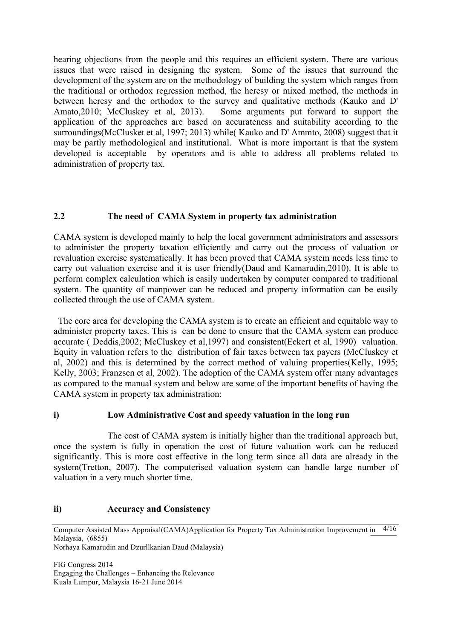hearing objections from the people and this requires an efficient system. There are various issues that were raised in designing the system. Some of the issues that surround the development of the system are on the methodology of building the system which ranges from the traditional or orthodox regression method, the heresy or mixed method, the methods in between heresy and the orthodox to the survey and qualitative methods (Kauko and D' Amato,2010; McCluskey et al, 2013). Some arguments put forward to support the application of the approaches are based on accurateness and suitability according to the surroundings(McClusket et al, 1997; 2013) while( Kauko and D' Ammto, 2008) suggest that it may be partly methodological and institutional. What is more important is that the system developed is acceptable by operators and is able to address all problems related to administration of property tax.

## **2.2 The need of CAMA System in property tax administration**

CAMA system is developed mainly to help the local government administrators and assessors to administer the property taxation efficiently and carry out the process of valuation or revaluation exercise systematically. It has been proved that CAMA system needs less time to carry out valuation exercise and it is user friendly(Daud and Kamarudin,2010). It is able to perform complex calculation which is easily undertaken by computer compared to traditional system. The quantity of manpower can be reduced and property information can be easily collected through the use of CAMA system.

 The core area for developing the CAMA system is to create an efficient and equitable way to administer property taxes. This is can be done to ensure that the CAMA system can produce accurate ( Deddis,2002; McCluskey et al,1997) and consistent(Eckert et al, 1990) valuation. Equity in valuation refers to the distribution of fair taxes between tax payers (McCluskey et al, 2002) and this is determined by the correct method of valuing properties(Kelly, 1995; Kelly, 2003; Franzsen et al, 2002). The adoption of the CAMA system offer many advantages as compared to the manual system and below are some of the important benefits of having the CAMA system in property tax administration:

## **i) Low Administrative Cost and speedy valuation in the long run**

The cost of CAMA system is initially higher than the traditional approach but, once the system is fully in operation the cost of future valuation work can be reduced significantly. This is more cost effective in the long term since all data are already in the system(Tretton, 2007). The computerised valuation system can handle large number of valuation in a very much shorter time.

#### **ii) Accuracy and Consistency**

Computer Assisted Mass Appraisal(CAMA)Application for Property Tax Administration Improvement in 4/16 Malaysia, (6855)

Norhaya Kamarudin and Dzurllkanian Daud (Malaysia)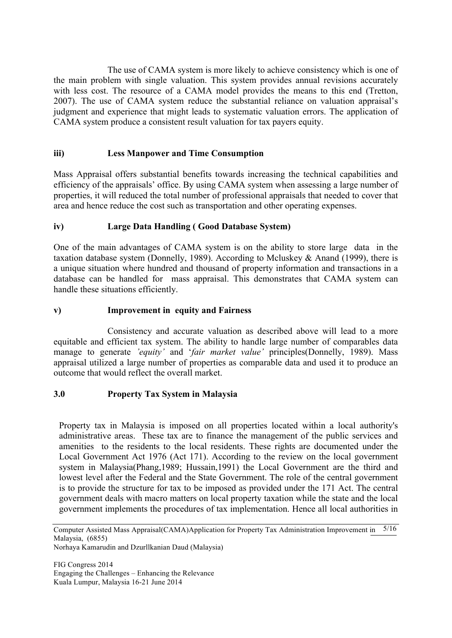The use of CAMA system is more likely to achieve consistency which is one of the main problem with single valuation. This system provides annual revisions accurately with less cost. The resource of a CAMA model provides the means to this end (Tretton, 2007). The use of CAMA system reduce the substantial reliance on valuation appraisal's judgment and experience that might leads to systematic valuation errors. The application of CAMA system produce a consistent result valuation for tax payers equity.

## **iii) Less Manpower and Time Consumption**

Mass Appraisal offers substantial benefits towards increasing the technical capabilities and efficiency of the appraisals' office. By using CAMA system when assessing a large number of properties, it will reduced the total number of professional appraisals that needed to cover that area and hence reduce the cost such as transportation and other operating expenses.

## **iv) Large Data Handling ( Good Database System)**

One of the main advantages of CAMA system is on the ability to store large data in the taxation database system (Donnelly, 1989). According to Mcluskey & Anand (1999), there is a unique situation where hundred and thousand of property information and transactions in a database can be handled for mass appraisal. This demonstrates that CAMA system can handle these situations efficiently.

## **v) Improvement in equity and Fairness**

Consistency and accurate valuation as described above will lead to a more equitable and efficient tax system. The ability to handle large number of comparables data manage to generate *'equity'* and '*fair market value'* principles(Donnelly, 1989). Mass appraisal utilized a large number of properties as comparable data and used it to produce an outcome that would reflect the overall market.

## **3.0 Property Tax System in Malaysia**

Property tax in Malaysia is imposed on all properties located within a local authority's administrative areas. These tax are to finance the management of the public services and amenities to the residents to the local residents. These rights are documented under the Local Government Act 1976 (Act 171). According to the review on the local government system in Malaysia(Phang,1989; Hussain,1991) the Local Government are the third and lowest level after the Federal and the State Government. The role of the central government is to provide the structure for tax to be imposed as provided under the 171 Act. The central government deals with macro matters on local property taxation while the state and the local government implements the procedures of tax implementation. Hence all local authorities in

Norhaya Kamarudin and Dzurllkanian Daud (Malaysia)

Computer Assisted Mass Appraisal(CAMA)Application for Property Tax Administration Improvement in 5/16 Malaysia, (6855)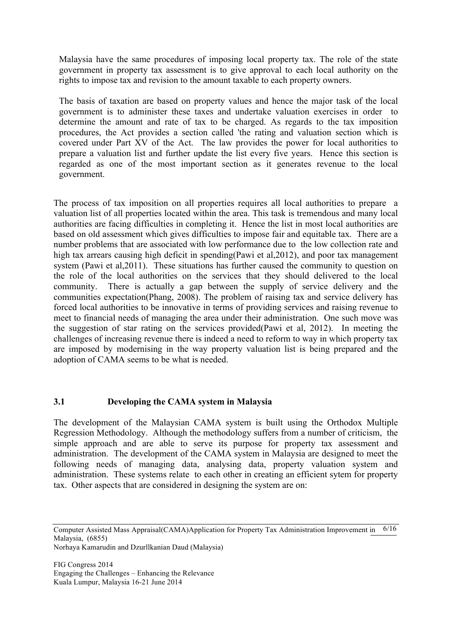Malaysia have the same procedures of imposing local property tax. The role of the state government in property tax assessment is to give approval to each local authority on the rights to impose tax and revision to the amount taxable to each property owners.

The basis of taxation are based on property values and hence the major task of the local government is to administer these taxes and undertake valuation exercises in order to determine the amount and rate of tax to be charged. As regards to the tax imposition procedures, the Act provides a section called 'the rating and valuation section which is covered under Part XV of the Act. The law provides the power for local authorities to prepare a valuation list and further update the list every five years. Hence this section is regarded as one of the most important section as it generates revenue to the local government.

The process of tax imposition on all properties requires all local authorities to prepare a valuation list of all properties located within the area. This task is tremendous and many local authorities are facing difficulties in completing it. Hence the list in most local authorities are based on old assessment which gives difficulties to impose fair and equitable tax. There are a number problems that are associated with low performance due to the low collection rate and high tax arrears causing high deficit in spending(Pawi et al,2012), and poor tax management system (Pawi et al,2011). These situations has further caused the community to question on the role of the local authorities on the services that they should delivered to the local community. There is actually a gap between the supply of service delivery and the communities expectation(Phang, 2008). The problem of raising tax and service delivery has forced local authorities to be innovative in terms of providing services and raising revenue to meet to financial needs of managing the area under their administration. One such move was the suggestion of star rating on the services provided(Pawi et al, 2012). In meeting the challenges of increasing revenue there is indeed a need to reform to way in which property tax are imposed by modernising in the way property valuation list is being prepared and the adoption of CAMA seems to be what is needed.

## **3.1 Developing the CAMA system in Malaysia**

The development of the Malaysian CAMA system is built using the Orthodox Multiple Regression Methodology. Although the methodology suffers from a number of criticism, the simple approach and are able to serve its purpose for property tax assessment and administration. The development of the CAMA system in Malaysia are designed to meet the following needs of managing data, analysing data, property valuation system and administration. These systems relate to each other in creating an efficient sytem for property tax. Other aspects that are considered in designing the system are on:

Norhaya Kamarudin and Dzurllkanian Daud (Malaysia)

Computer Assisted Mass Appraisal(CAMA)Application for Property Tax Administration Improvement in 6/16 Malaysia, (6855)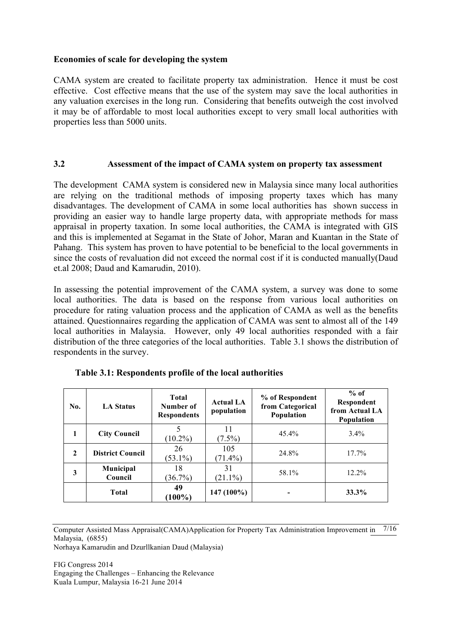#### **Economies of scale for developing the system**

CAMA system are created to facilitate property tax administration. Hence it must be cost effective. Cost effective means that the use of the system may save the local authorities in any valuation exercises in the long run. Considering that benefits outweigh the cost involved it may be of affordable to most local authorities except to very small local authorities with properties less than 5000 units.

#### **3.2 Assessment of the impact of CAMA system on property tax assessment**

The development CAMA system is considered new in Malaysia since many local authorities are relying on the traditional methods of imposing property taxes which has many disadvantages. The development of CAMA in some local authorities has shown success in providing an easier way to handle large property data, with appropriate methods for mass appraisal in property taxation. In some local authorities, the CAMA is integrated with GIS and this is implemented at Segamat in the State of Johor, Maran and Kuantan in the State of Pahang. This system has proven to have potential to be beneficial to the local governments in since the costs of revaluation did not exceed the normal cost if it is conducted manually(Daud et.al 2008; Daud and Kamarudin, 2010).

In assessing the potential improvement of the CAMA system, a survey was done to some local authorities. The data is based on the response from various local authorities on procedure for rating valuation process and the application of CAMA as well as the benefits attained. Questionnaires regarding the application of CAMA was sent to almost all of the 149 local authorities in Malaysia. However, only 49 local authorities responded with a fair distribution of the three categories of the local authorities. Table 3.1 shows the distribution of respondents in the survey.

| No. | <b>LA Status</b>        | <b>Total</b><br>Number of<br><b>Respondents</b> | <b>Actual LA</b><br>population | % of Respondent<br>from Categorical<br>Population | $%$ of<br>Respondent<br>from Actual LA<br><b>Population</b> |
|-----|-------------------------|-------------------------------------------------|--------------------------------|---------------------------------------------------|-------------------------------------------------------------|
| 1   | <b>City Council</b>     | 5<br>$(10.2\%)$                                 | 11<br>$(7.5\%)$                | 45.4%                                             | $3.4\%$                                                     |
| 2   | <b>District Council</b> | 26<br>$(53.1\%)$                                | 105<br>$(71.4\%)$              | 24.8%                                             | 17.7%                                                       |
| 3   | Municipal<br>Council    | 18<br>$(36.7\%)$                                | 31<br>$(21.1\%)$               | 58.1%                                             | $12.2\%$                                                    |
|     | <b>Total</b>            | 49<br>$(100\%)$                                 | $147(100\%)$                   |                                                   | 33.3%                                                       |

| Table 3.1: Respondents profile of the local authorities |  |  |
|---------------------------------------------------------|--|--|
|---------------------------------------------------------|--|--|

Computer Assisted Mass Appraisal(CAMA)Application for Property Tax Administration Improvement in 7/16 Malaysia, (6855)

Norhaya Kamarudin and Dzurllkanian Daud (Malaysia)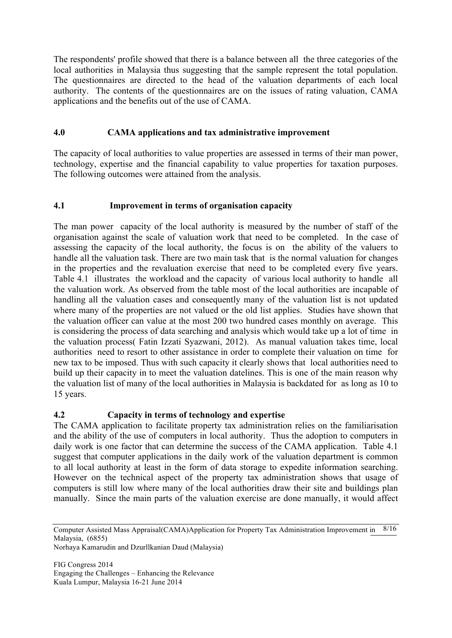The respondents' profile showed that there is a balance between all the three categories of the local authorities in Malaysia thus suggesting that the sample represent the total population. The questionnaires are directed to the head of the valuation departments of each local authority. The contents of the questionnaires are on the issues of rating valuation, CAMA applications and the benefits out of the use of CAMA.

## **4.0 CAMA applications and tax administrative improvement**

The capacity of local authorities to value properties are assessed in terms of their man power, technology, expertise and the financial capability to value properties for taxation purposes. The following outcomes were attained from the analysis.

## **4.1 Improvement in terms of organisation capacity**

The man power capacity of the local authority is measured by the number of staff of the organisation against the scale of valuation work that need to be completed. In the case of assessing the capacity of the local authority, the focus is on the ability of the valuers to handle all the valuation task. There are two main task that is the normal valuation for changes in the properties and the revaluation exercise that need to be completed every five years. Table 4.1 illustrates the workload and the capacity of various local authority to handle all the valuation work. As observed from the table most of the local authorities are incapable of handling all the valuation cases and consequently many of the valuation list is not updated where many of the properties are not valued or the old list applies. Studies have shown that the valuation officer can value at the most 200 two hundred cases monthly on average. This is considering the process of data searching and analysis which would take up a lot of time in the valuation process( Fatin Izzati Syazwani, 2012). As manual valuation takes time, local authorities need to resort to other assistance in order to complete their valuation on time for new tax to be imposed. Thus with such capacity it clearly shows that local authorities need to build up their capacity in to meet the valuation datelines. This is one of the main reason why the valuation list of many of the local authorities in Malaysia is backdated for as long as 10 to 15 years.

# **4.2 Capacity in terms of technology and expertise**

The CAMA application to facilitate property tax administration relies on the familiarisation and the ability of the use of computers in local authority. Thus the adoption to computers in daily work is one factor that can determine the success of the CAMA application. Table 4.1 suggest that computer applications in the daily work of the valuation department is common to all local authority at least in the form of data storage to expedite information searching. However on the technical aspect of the property tax administration shows that usage of computers is still low where many of the local authorities draw their site and buildings plan manually. Since the main parts of the valuation exercise are done manually, it would affect

Norhaya Kamarudin and Dzurllkanian Daud (Malaysia)

Computer Assisted Mass Appraisal(CAMA)Application for Property Tax Administration Improvement in 8/16 Malaysia, (6855)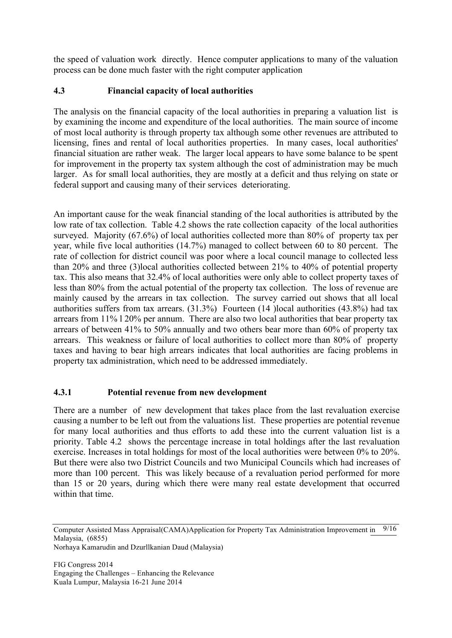the speed of valuation work directly. Hence computer applications to many of the valuation process can be done much faster with the right computer application

## **4.3 Financial capacity of local authorities**

The analysis on the financial capacity of the local authorities in preparing a valuation list is by examining the income and expenditure of the local authorities. The main source of income of most local authority is through property tax although some other revenues are attributed to licensing, fines and rental of local authorities properties. In many cases, local authorities' financial situation are rather weak. The larger local appears to have some balance to be spent for improvement in the property tax system although the cost of administration may be much larger. As for small local authorities, they are mostly at a deficit and thus relying on state or federal support and causing many of their services deteriorating.

An important cause for the weak financial standing of the local authorities is attributed by the low rate of tax collection. Table 4.2 shows the rate collection capacity of the local authorities surveyed. Majority (67.6%) of local authorities collected more than 80% of property tax per year, while five local authorities (14.7%) managed to collect between 60 to 80 percent. The rate of collection for district council was poor where a local council manage to collected less than 20% and three (3)local authorities collected between 21% to 40% of potential property tax. This also means that 32.4% of local authorities were only able to collect property taxes of less than 80% from the actual potential of the property tax collection. The loss of revenue are mainly caused by the arrears in tax collection. The survey carried out shows that all local authorities suffers from tax arrears. (31.3%) Fourteen (14 )local authorities (43.8%) had tax arrears from 11% l 20% per annum. There are also two local authorities that bear property tax arrears of between 41% to 50% annually and two others bear more than 60% of property tax arrears. This weakness or failure of local authorities to collect more than 80% of property taxes and having to bear high arrears indicates that local authorities are facing problems in property tax administration, which need to be addressed immediately.

## **4.3.1 Potential revenue from new development**

There are a number of new development that takes place from the last revaluation exercise causing a number to be left out from the valuations list. These properties are potential revenue for many local authorities and thus efforts to add these into the current valuation list is a priority. Table 4.2 shows the percentage increase in total holdings after the last revaluation exercise. Increases in total holdings for most of the local authorities were between 0% to 20%. But there were also two District Councils and two Municipal Councils which had increases of more than 100 percent. This was likely because of a revaluation period performed for more than 15 or 20 years, during which there were many real estate development that occurred within that time.

Norhaya Kamarudin and Dzurllkanian Daud (Malaysia)

Computer Assisted Mass Appraisal(CAMA)Application for Property Tax Administration Improvement in 9/16 Malaysia, (6855)